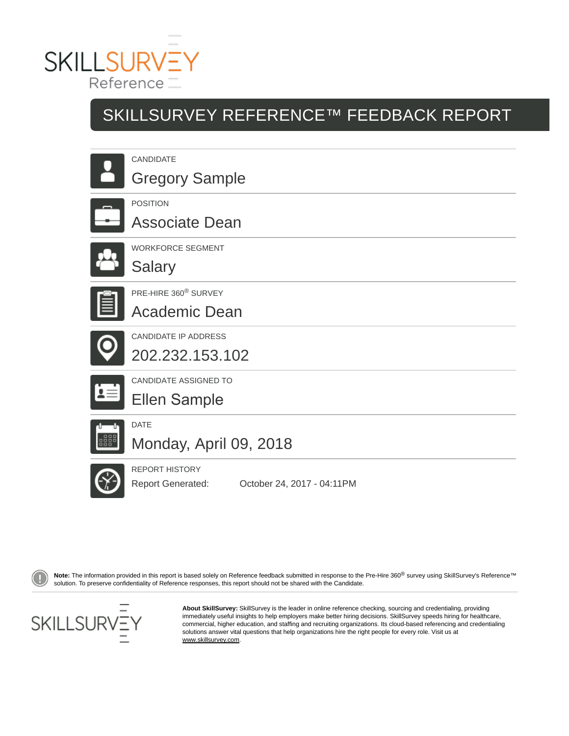

# SKILLSURVEY REFERENCE™ FEEDBACK REPORT

| <b>CANDIDATE</b><br><b>Gregory Sample</b>                |
|----------------------------------------------------------|
| <b>POSITION</b><br><b>Associate Dean</b>                 |
| <b>WORKFORCE SEGMENT</b><br><b>Salary</b>                |
| PRE-HIRE 360 <sup>®</sup> SURVEY<br><b>Academic Dean</b> |
| <b>CANDIDATE IP ADDRESS</b><br>202.232.153.102           |
| CANDIDATE ASSIGNED TO<br><b>Ellen Sample</b>             |
| <b>DATE</b><br>Monday, April 09, 2018                    |
| <b>REPORT HISTORY</b>                                    |

Report Generated: October 24, 2017 - 04:11PM

Note: The information provided in this report is based solely on Reference feedback submitted in response to the Pre-Hire 360<sup>®</sup> survey using SkillSurvey's Reference™ solution. To preserve confidentiality of Reference responses, this report should not be shared with the Candidate.



**About SkillSurvey:** SkillSurvey is the leader in online reference checking, sourcing and credentialing, providing immediately useful insights to help employers make better hiring decisions. SkillSurvey speeds hiring for healthcare, commercial, higher education, and staffing and recruiting organizations. Its cloud-based referencing and credentialing solutions answer vital questions that help organizations hire the right people for every role. Visit us at www.skillsurvey.com.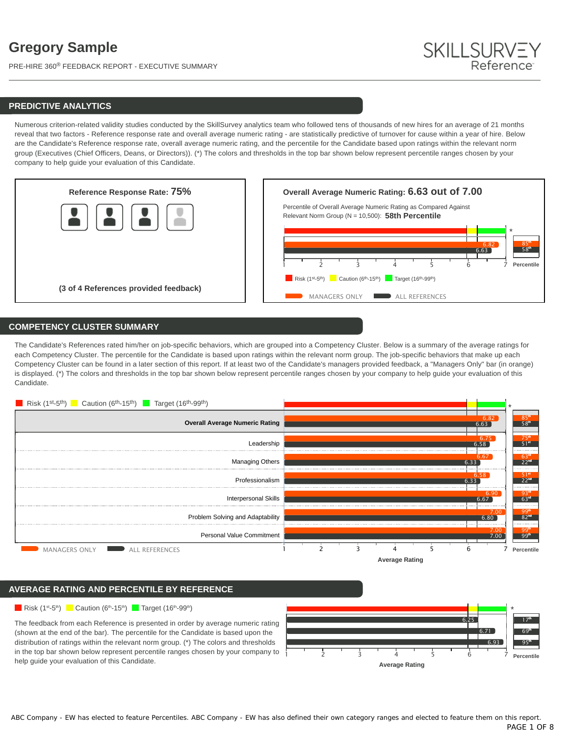PRE-HIRE 360® FEEDBACK REPORT - EXECUTIVE SUMMARY



## **PREDICTIVE ANALYTICS**

Numerous criterion-related validity studies conducted by the SkillSurvey analytics team who followed tens of thousands of new hires for an average of 21 months reveal that two factors - Reference response rate and overall average numeric rating - are statistically predictive of turnover for cause within a year of hire. Below are the Candidate's Reference response rate, overall average numeric rating, and the percentile for the Candidate based upon ratings within the relevant norm group (Executives (Chief Officers, Deans, or Directors)). (\*) The colors and thresholds in the top bar shown below represent percentile ranges chosen by your company to help guide your evaluation of this Candidate.



## **COMPETENCY CLUSTER SUMMARY**

The Candidate's References rated him/her on job-specific behaviors, which are grouped into a Competency Cluster. Below is a summary of the average ratings for each Competency Cluster. The percentile for the Candidate is based upon ratings within the relevant norm group. The job-specific behaviors that make up each Competency Cluster can be found in a later section of this report. If at least two of the Candidate's managers provided feedback, a "Managers Only" bar (in orange) is displayed. (\*) The colors and thresholds in the top bar shown below represent percentile ranges chosen by your company to help guide your evaluation of this Candidate.



## **AVERAGE RATING AND PERCENTILE BY REFERENCE**

### Risk  $(1^{st} - 5^{th})$  Caution  $(6^{th} - 15^{th})$  Target  $(16^{th} - 99^{th})$

The feedback from each Reference is presented in order by average numeric rating (shown at the end of the bar). The percentile for the Candidate is based upon the distribution of ratings within the relevant norm group. (\*) The colors and thresholds in the top bar shown below represent percentile ranges chosen by your company to help guide your evaluation of this Candidate.

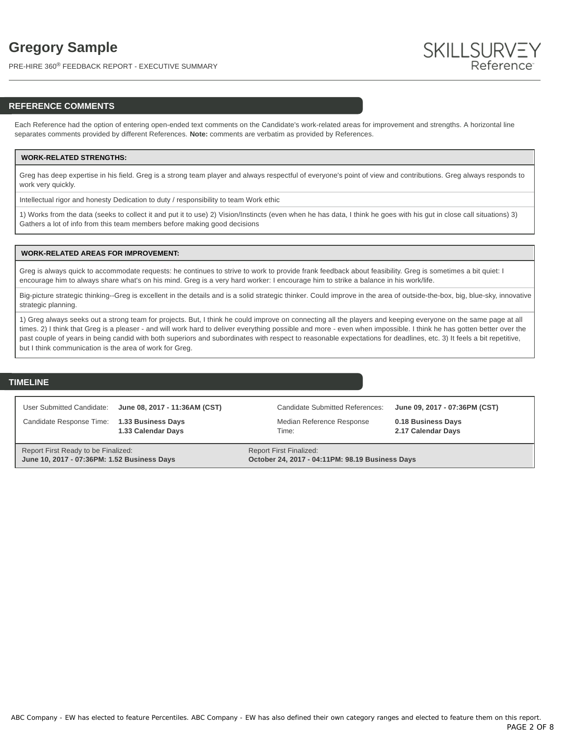PRE-HIRE 360® FEEDBACK REPORT - EXECUTIVE SUMMARY



## **REFERENCE COMMENTS**

Each Reference had the option of entering open-ended text comments on the Candidate's work-related areas for improvement and strengths. A horizontal line separates comments provided by different References. **Note:** comments are verbatim as provided by References.

### **WORK-RELATED STRENGTHS:**

Greg has deep expertise in his field. Greg is a strong team player and always respectful of everyone's point of view and contributions. Greg always responds to work very quickly.

Intellectual rigor and honesty Dedication to duty / responsibility to team Work ethic

1) Works from the data (seeks to collect it and put it to use) 2) Vision/Instincts (even when he has data, I think he goes with his gut in close call situations) 3) Gathers a lot of info from this team members before making good decisions

#### **WORK-RELATED AREAS FOR IMPROVEMENT:**

Greg is always quick to accommodate requests: he continues to strive to work to provide frank feedback about feasibility. Greg is sometimes a bit quiet: I encourage him to always share what's on his mind. Greg is a very hard worker: I encourage him to strike a balance in his work/life.

Big-picture strategic thinking--Greg is excellent in the details and is a solid strategic thinker. Could improve in the area of outside-the-box, big, blue-sky, innovative strategic planning.

1) Greg always seeks out a strong team for projects. But, I think he could improve on connecting all the players and keeping everyone on the same page at all times. 2) I think that Greg is a pleaser - and will work hard to deliver everything possible and more - even when impossible. I think he has gotten better over the past couple of years in being candid with both superiors and subordinates with respect to reasonable expectations for deadlines, etc. 3) It feels a bit repetitive, but I think communication is the area of work for Greg.

## **TIMELINE**

User Submitted Candidate: **June 08, 2017 - 11:36AM (CST)**

Candidate Response Time: **1.33 Business Days 1.33 Calendar Days**

Median Reference Response Time:

Candidate Submitted References: **June 09, 2017 - 07:36PM (CST) 0.18 Business Days**

**2.17 Calendar Days**

Report First Ready to be Finalized: **June 10, 2017 - 07:36PM: 1.52 Business Days** Report First Finalized: **October 24, 2017 - 04:11PM: 98.19 Business Days**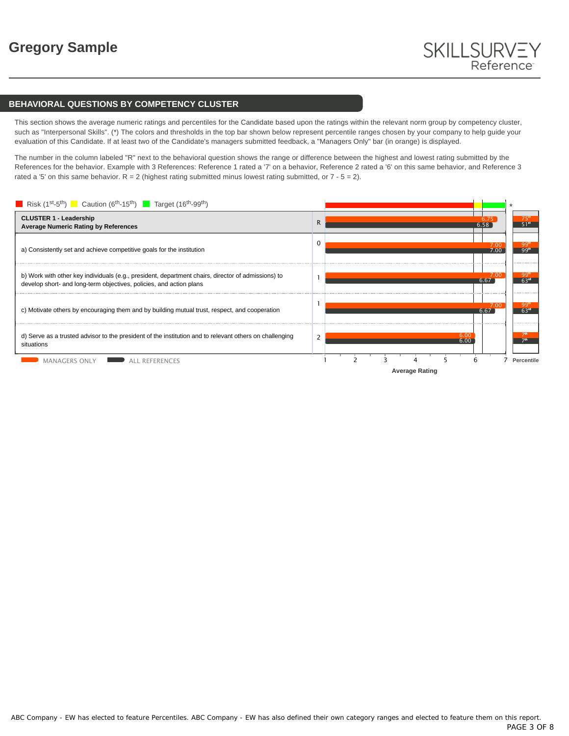## **BEHAVIORAL QUESTIONS BY COMPETENCY CLUSTER**

This section shows the average numeric ratings and percentiles for the Candidate based upon the ratings within the relevant norm group by competency cluster, such as "Interpersonal Skills". (\*) The colors and thresholds in the top bar shown below represent percentile ranges chosen by your company to help guide your evaluation of this Candidate. If at least two of the Candidate's managers submitted feedback, a "Managers Only" bar (in orange) is displayed.

The number in the column labeled "R" next to the behavioral question shows the range or difference between the highest and lowest rating submitted by the References for the behavior. Example with 3 References: Reference 1 rated a '7' on a behavior, Reference 2 rated a '6' on this same behavior, and Reference 3 rated a '5' on this same behavior.  $R = 2$  (highest rating submitted minus lowest rating submitted, or  $7 - 5 = 2$ ).

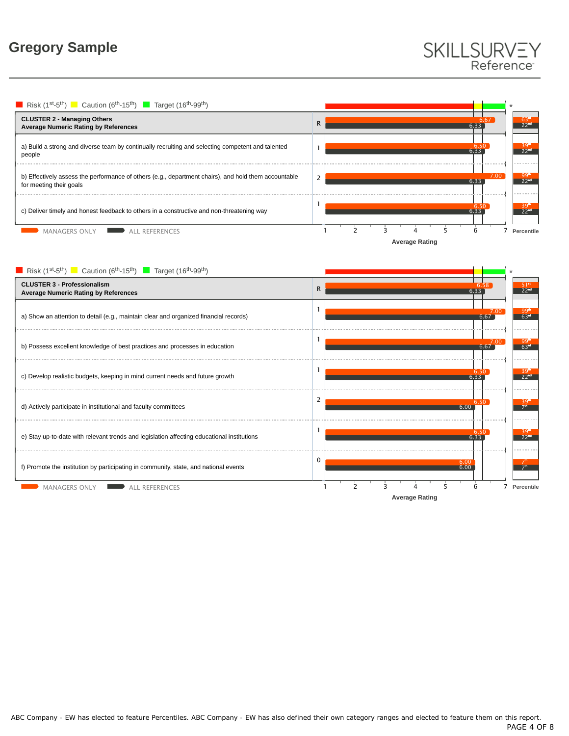# SKILLSURVEY<br>Reference

**Average Rating** Risk (1<sup>st</sup>-5<sup>th</sup>) Caution (6<sup>th</sup>-15<sup>th</sup>) Target (16<sup>th</sup>-99<sup>th</sup>) R **CLUSTER 2 - Managing Others Average Numeric Rating by References** a) Build a strong and diverse team by continually recruiting and selecting competent and talented 1 people b) Effectively assess the performance of others (e.g., department chairs), and hold them accountable 2 for meeting their goals 1 c) Deliver timely and honest feedback to others in a constructive and non-threatening way MANAGERS ONLY ALL REFERENCES 1 2 3 4 5 6 7 **Percentile** \* 6.33 6.67 6.33 6.50  $6.33$ 7.00 6.33 6.50 63<sup>rd</sup><br>22<sup>nd</sup>  $\frac{39^{\text{th}}}{22^{\text{nd}}}$ 99th<br>22nd  $\frac{39^{\text{th}}}{22^{\text{nd}}}$ 

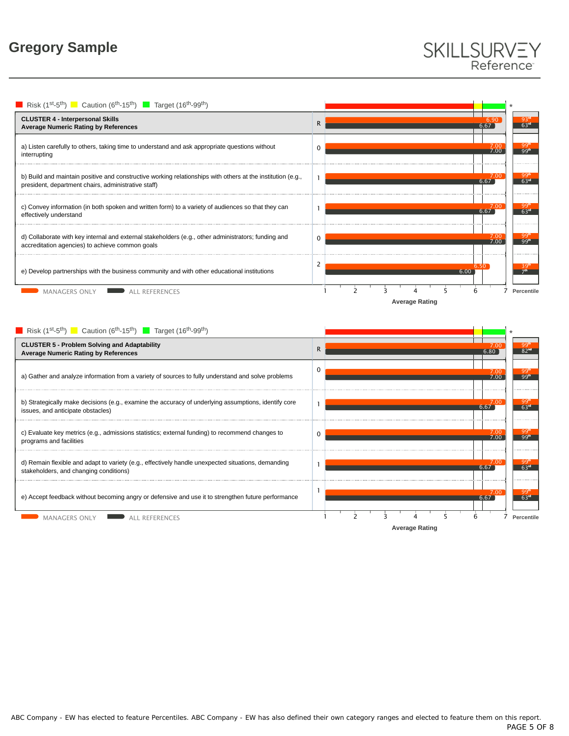# SKILLSURVEY Reference





ABC Company - EW has elected to feature Percentiles. ABC Company - EW has also defined their own category ranges and elected to feature them on this report.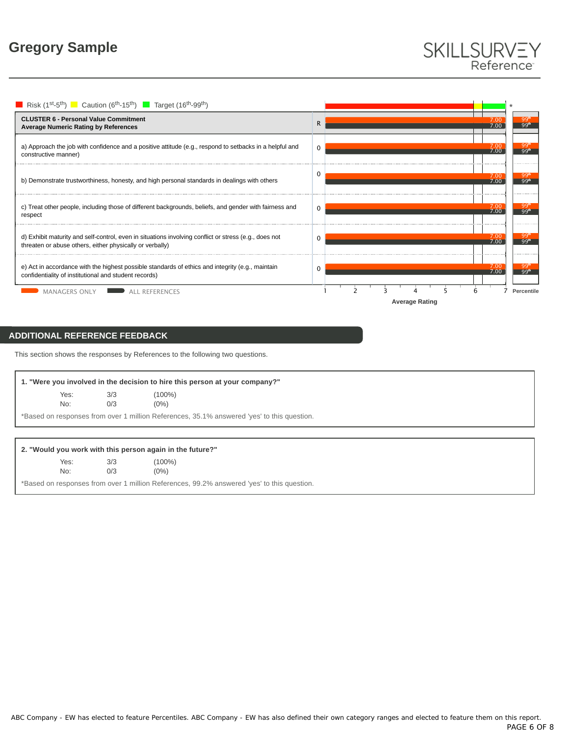# SKILLSURVEY Reference



# **ADDITIONAL REFERENCE FEEDBACK**

No:

This section shows the responses by References to the following two questions.

|                                                                                            |     | 1. "Were you involved in the decision to hire this person at your company?" |  |  |  |  |
|--------------------------------------------------------------------------------------------|-----|-----------------------------------------------------------------------------|--|--|--|--|
| Yes:                                                                                       | 3/3 | $(100\%)$                                                                   |  |  |  |  |
| No:                                                                                        | 0/3 | $(0\%)$                                                                     |  |  |  |  |
| *Based on responses from over 1 million References, 35.1% answered 'yes' to this question. |     |                                                                             |  |  |  |  |

## **2. "Would you work with this person again in the future?"**

| Yes: | 3/3 | $(100\%)$ |
|------|-----|-----------|
| No:  | 0/3 | $(0\%)$   |

\*Based on responses from over 1 million References, 99.2% answered 'yes' to this question.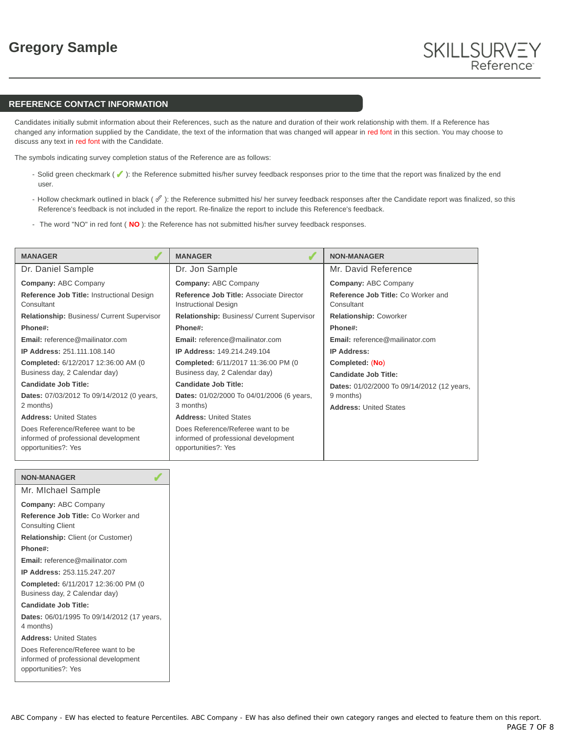## **REFERENCE CONTACT INFORMATION**

Candidates initially submit information about their References, such as the nature and duration of their work relationship with them. If a Reference has changed any information supplied by the Candidate, the text of the information that was changed will appear in red font in this section. You may choose to discuss any text in red font with the Candidate.

The symbols indicating survey completion status of the Reference are as follows:

- Solid green checkmark ( $\blacklozenge$ ): the Reference submitted his/her survey feedback responses prior to the time that the report was finalized by the end user.
- Hollow checkmark outlined in black (  $\mathscr{O}$  ): the Reference submitted his/ her survey feedback responses after the Candidate report was finalized, so this Reference's feedback is not included in the report. Re-finalize the report to include this Reference's feedback.
- The word "NO" in red font ( NO): the Reference has not submitted his/her survey feedback responses.

| <b>MANAGER</b>                                                                                   | <b>MANAGER</b>                                                                                   | <b>NON-MANAGER</b>                               |
|--------------------------------------------------------------------------------------------------|--------------------------------------------------------------------------------------------------|--------------------------------------------------|
| Dr. Daniel Sample                                                                                | Dr. Jon Sample                                                                                   | Mr. David Reference                              |
| <b>Company: ABC Company</b>                                                                      | <b>Company: ABC Company</b>                                                                      | <b>Company: ABC Company</b>                      |
| Reference Job Title: Instructional Design<br>Consultant                                          | Reference Job Title: Associate Director<br><b>Instructional Design</b>                           | Reference Job Title: Co Worker and<br>Consultant |
| <b>Relationship: Business/ Current Supervisor</b>                                                | <b>Relationship: Business/ Current Supervisor</b>                                                | <b>Relationship: Coworker</b>                    |
| Phone#:                                                                                          | Phone#:                                                                                          | Phone#:                                          |
| <b>Email:</b> reference@mailinator.com                                                           | Email: reference@mailinator.com                                                                  | Email: reference@mailinator.com                  |
| <b>IP Address: 251.111.108.140</b>                                                               | <b>IP Address: 149 214 249 104</b>                                                               | <b>IP Address:</b>                               |
| Completed: 6/12/2017 12:36:00 AM (0)<br>Business day, 2 Calendar day)                            | Completed: 6/11/2017 11:36:00 PM (0)<br>Business day, 2 Calendar day)                            | Completed: (No)<br><b>Candidate Job Title:</b>   |
| Candidate Job Title:                                                                             | <b>Candidate Job Title:</b>                                                                      | Dates: 01/02/2000 To 09/14/2012 (12 years,       |
| Dates: 07/03/2012 To 09/14/2012 (0 years,                                                        | Dates: 01/02/2000 To 04/01/2006 (6 years,                                                        | 9 months)                                        |
| 2 months)                                                                                        | 3 months)                                                                                        | <b>Address: United States</b>                    |
| <b>Address: United States</b>                                                                    | <b>Address: United States</b>                                                                    |                                                  |
| Does Reference/Referee want to be<br>informed of professional development<br>opportunities?: Yes | Does Reference/Referee want to be<br>informed of professional development<br>opportunities?: Yes |                                                  |

| <b>NON-MANAGER</b>                                                                               |
|--------------------------------------------------------------------------------------------------|
| Mr. Michael Sample                                                                               |
| <b>Company: ABC Company</b>                                                                      |
| Reference Job Title: Co Worker and<br><b>Consulting Client</b>                                   |
| <b>Relationship: Client (or Customer)</b>                                                        |
| Phone#:                                                                                          |
| <b>Email:</b> reference@mailinator.com                                                           |
| <b>IP Address: 253.115.247.207</b>                                                               |
| Completed: 6/11/2017 12:36:00 PM (0<br>Business day, 2 Calendar day)                             |
| Candidate Job Title:                                                                             |
| Dates: 06/01/1995 To 09/14/2012 (17 years,<br>4 months)                                          |
| <b>Address: United States</b>                                                                    |
| Does Reference/Referee want to be<br>informed of professional development<br>opportunities?: Yes |